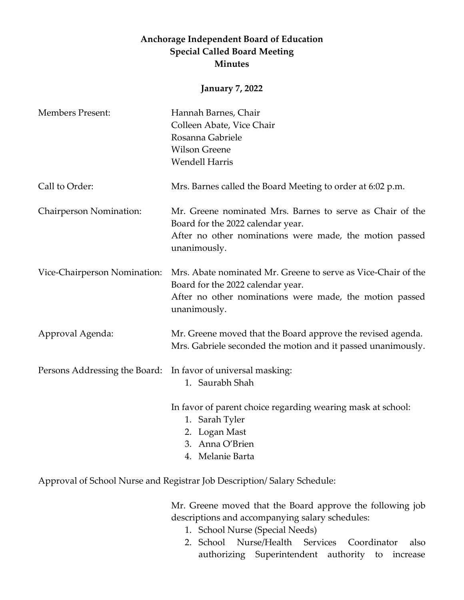## **Anchorage Independent Board of Education Special Called Board Meeting Minutes**

## **January 7, 2022**

| <b>Members Present:</b>       | Hannah Barnes, Chair                                                                                                        |
|-------------------------------|-----------------------------------------------------------------------------------------------------------------------------|
|                               | Colleen Abate, Vice Chair                                                                                                   |
|                               | Rosanna Gabriele                                                                                                            |
|                               | <b>Wilson Greene</b>                                                                                                        |
|                               | <b>Wendell Harris</b>                                                                                                       |
| Call to Order:                | Mrs. Barnes called the Board Meeting to order at 6:02 p.m.                                                                  |
| Chairperson Nomination:       | Mr. Greene nominated Mrs. Barnes to serve as Chair of the<br>Board for the 2022 calendar year.                              |
|                               | After no other nominations were made, the motion passed<br>unanimously.                                                     |
| Vice-Chairperson Nomination:  | Mrs. Abate nominated Mr. Greene to serve as Vice-Chair of the<br>Board for the 2022 calendar year.                          |
|                               | After no other nominations were made, the motion passed<br>unanimously.                                                     |
| Approval Agenda:              | Mr. Greene moved that the Board approve the revised agenda.<br>Mrs. Gabriele seconded the motion and it passed unanimously. |
| Persons Addressing the Board: | In favor of universal masking:                                                                                              |
|                               | 1. Saurabh Shah                                                                                                             |
|                               | In favor of parent choice regarding wearing mask at school:                                                                 |
|                               | 1. Sarah Tyler                                                                                                              |
|                               | 2. Logan Mast                                                                                                               |
|                               | 3. Anna O'Brien                                                                                                             |
|                               | 4. Melanie Barta                                                                                                            |

Approval of School Nurse and Registrar Job Description/ Salary Schedule:

Mr. Greene moved that the Board approve the following job descriptions and accompanying salary schedules:

- 1. School Nurse (Special Needs)
- 2. School Nurse/Health Services Coordinator also authorizing Superintendent authority to increase